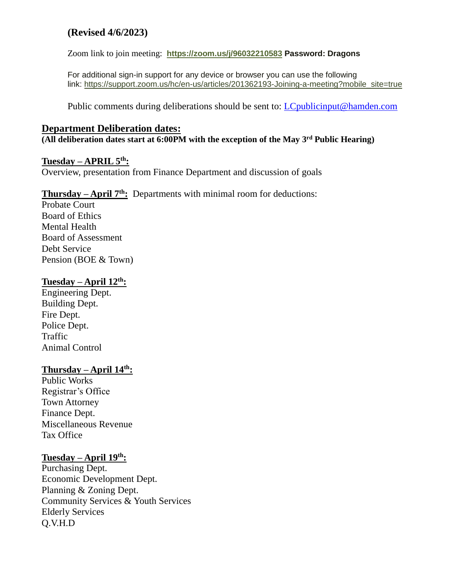# **(Revised 4/6/2023)**

Zoom link to join meeting: **<https://zoom.us/j/96032210583> Password: Dragons**

For additional sign-in support for any device or browser you can use the following link: [https://support.zoom.us/hc/en-us/articles/201362193-Joining-a-meeting?mobile\\_site=true](https://support.zoom.us/hc/en-us/articles/201362193-Joining-a-meeting?mobile_site=true)

Public comments during deliberations should be sent to: [LCpublicinput@hamden.com](mailto:LCpublicinput@hamden.com)

### **Department Deliberation dates:**

**(All deliberation dates start at 6:00PM with the exception of the May 3 rd Public Hearing)**

#### **Tuesday – APRIL 5th:**

Overview, presentation from Finance Department and discussion of goals

### **Thursday – April 7th:** Departments with minimal room for deductions:

Probate Court Board of Ethics Mental Health Board of Assessment Debt Service Pension (BOE & Town)

### **Tuesday – April 12th:**

Engineering Dept. Building Dept. Fire Dept. Police Dept. Traffic Animal Control

#### **Thursday – April 14th:**

Public Works Registrar's Office Town Attorney Finance Dept. Miscellaneous Revenue Tax Office

### **Tuesday – April 19th:**

Purchasing Dept. Economic Development Dept. Planning & Zoning Dept. Community Services & Youth Services Elderly Services Q.V.H.D